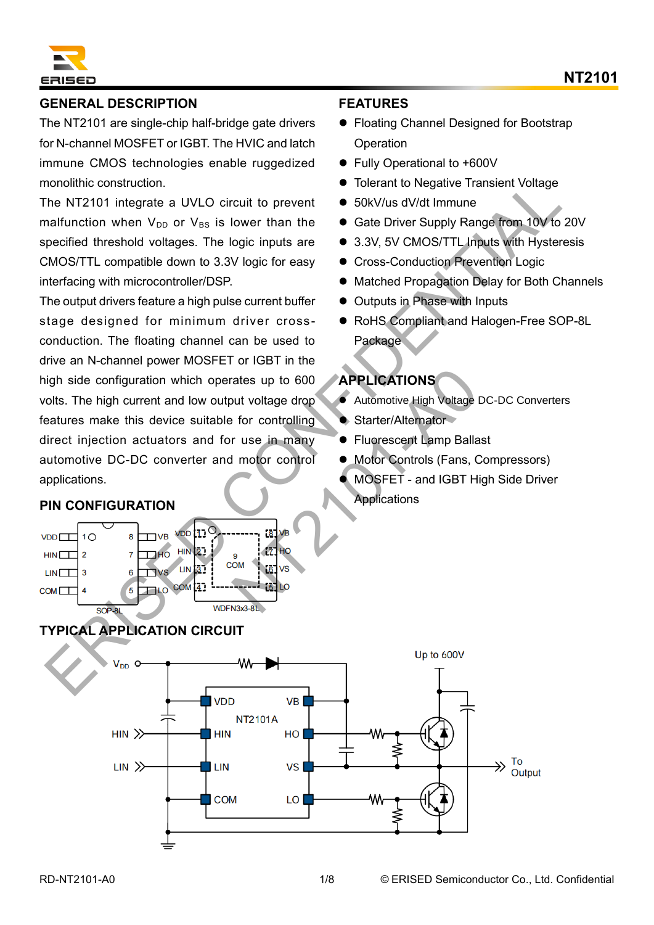

### **GENERAL DESCRIPTION**

The NT2101 are single-chip half-bridge gate drivers for N-channel MOSFET or IGBT. The HVIC and latch immune CMOS technologies enable ruggedized monolithic construction.

The NT2101 integrate a UVLO circuit to prevent malfunction when  $V_{DD}$  or  $V_{BS}$  is lower than the specified threshold voltages. The logic inputs are CMOS/TTL compatible down to 3.3V logic for easy interfacing with microcontroller/DSP.

The output drivers feature a high pulse current buffer stage designed for minimum driver crossconduction. The floating channel can be used to drive an N-channel power MOSFET or IGBT in the high side configuration which operates up to 600 volts. The high current and low output voltage drop features make this device suitable for controlling direct injection actuators and for use in many automotive DC-DC converter and motor control applications. monoliting construction.<br>
The NT2101 integrate a UVLO circuit to prevent  $\bullet$  S6KV/us dV/dt immune<br>
The NT2101 integrate a UVLO circuit to prevent  $\bullet$  Sdk Driver Supply Rangement 10V to 201<br>
pecified threshold voltages. The State of the Motor Control of Motor Control of Motor Control of Motor Control of Motor Control of Motor Control of Motor Control of Motor Control of Motor Control of Motor Control of Motor Control of Motor Control of M

### **PIN CONFIGURATION**



# **TYPICAL APPLICATION CIRCUIT**

### **FEATURES**

- Floating Channel Designed for Bootstrap **Operation**
- ⚫ Fully Operational to +600V
- Tolerant to Negative Transient Voltage
- 50kV/us dV/dt Immune
- Gate Driver Supply Range from 10V to 20V
- 3.3V, 5V CMOS/TTL Inputs with Hysteresis
- ⚫ Cross-Conduction Prevention Logic
- Matched Propagation Delay for Both Channels
- Outputs in Phase with Inputs
- RoHS Compliant and Halogen-Free SOP-8L **Package**

## **APPLICATIONS**

- Automotive High Voltage DC-DC Converters
- Starter/Alternator
- Fluorescent Lamp Ballast
- ⚫ Motor Controls (Fans, Compressors)
- ⚫ MOSFET and IGBT High Side Driver **Applications**